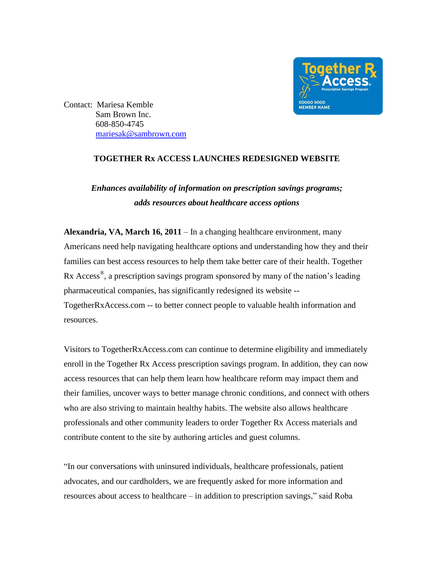

Contact: Mariesa Kemble Sam Brown Inc. 608-850-4745 [mariesak@sambrown.com](mailto:mariesak@sambrown.com)

## **TOGETHER Rx ACCESS LAUNCHES REDESIGNED WEBSITE**

## *Enhances availability of information on prescription savings programs; adds resources about healthcare access options*

**Alexandria, VA, March 16, 2011** – In a changing healthcare environment, many Americans need help navigating healthcare options and understanding how they and their families can best access resources to help them take better care of their health. Together Rx Access<sup>®</sup>, a prescription savings program sponsored by many of the nation's leading pharmaceutical companies, has significantly redesigned its website -- TogetherRxAccess.com -- to better connect people to valuable health information and resources.

Visitors to TogetherRxAccess.com can continue to determine eligibility and immediately enroll in the Together Rx Access prescription savings program. In addition, they can now access resources that can help them learn how healthcare reform may impact them and their families, uncover ways to better manage chronic conditions, and connect with others who are also striving to maintain healthy habits. The website also allows healthcare professionals and other community leaders to order Together Rx Access materials and contribute content to the site by authoring articles and guest columns.

"In our conversations with uninsured individuals, healthcare professionals, patient advocates, and our cardholders, we are frequently asked for more information and resources about access to healthcare – in addition to prescription savings," said Roba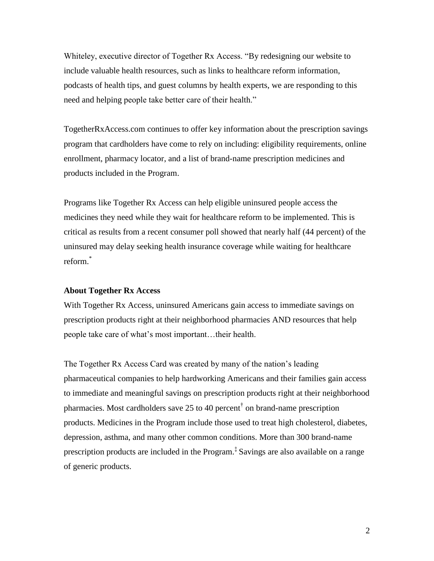Whiteley, executive director of Together Rx Access. "By redesigning our website to include valuable health resources, such as links to healthcare reform information, podcasts of health tips, and guest columns by health experts, we are responding to this need and helping people take better care of their health."

TogetherRxAccess.com continues to offer key information about the prescription savings program that cardholders have come to rely on including: eligibility requirements, online enrollment, pharmacy locator, and a list of brand-name prescription medicines and products included in the Program.

Programs like Together Rx Access can help eligible uninsured people access the medicines they need while they wait for healthcare reform to be implemented. This is critical as results from a recent consumer poll showed that nearly half (44 percent) of the uninsured may delay seeking health insurance coverage while waiting for healthcare reform. \*

## **About Together Rx Access**

With Together Rx Access, uninsured Americans gain access to immediate savings on prescription products right at their neighborhood pharmacies AND resources that help people take care of what's most important…their health.

The Together Rx Access Card was created by many of the nation's leading pharmaceutical companies to help hardworking Americans and their families gain access to immediate and meaningful savings on prescription products right at their neighborhood pharmacies. Most cardholders save 25 to 40 percent<sup>†</sup> on brand-name prescription products. Medicines in the Program include those used to treat high cholesterol, diabetes, depression, asthma, and many other common conditions. More than 300 brand-name prescription products are included in the Program.<sup>‡</sup> Savings are also available on a range of generic products.